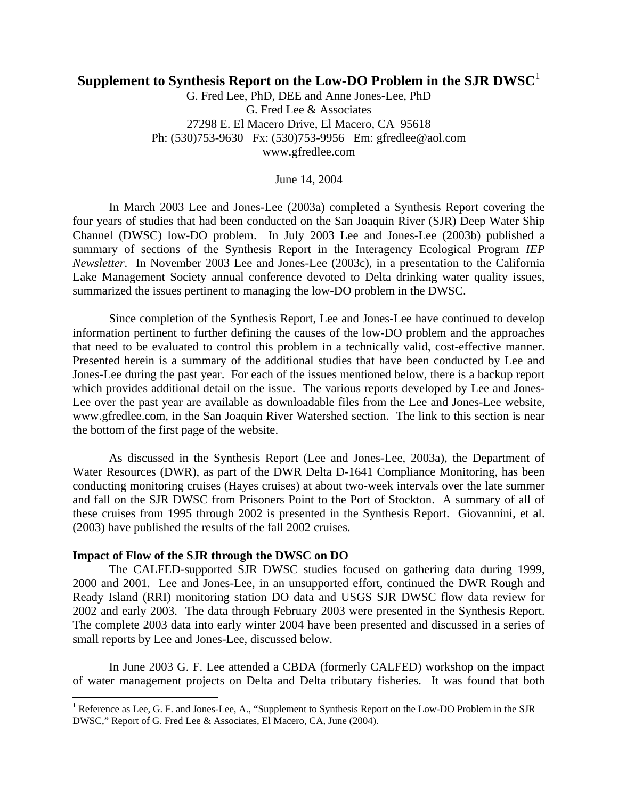# **Supplement to Synthesis Report on the Low-DO Problem in the SJR DWSC**<sup>1</sup>

G. Fred Lee, PhD, DEE and Anne Jones-Lee, PhD G. Fred Lee & Associates 27298 E. El Macero Drive, El Macero, CA 95618 Ph: (530)753-9630 Fx: (530)753-9956 Em: gfredlee@aol.com www.gfredlee.com

June 14, 2004

 In March 2003 Lee and Jones-Lee (2003a) completed a Synthesis Report covering the four years of studies that had been conducted on the San Joaquin River (SJR) Deep Water Ship Channel (DWSC) low-DO problem. In July 2003 Lee and Jones-Lee (2003b) published a summary of sections of the Synthesis Report in the Interagency Ecological Program *IEP Newsletter*. In November 2003 Lee and Jones-Lee (2003c), in a presentation to the California Lake Management Society annual conference devoted to Delta drinking water quality issues, summarized the issues pertinent to managing the low-DO problem in the DWSC.

 Since completion of the Synthesis Report, Lee and Jones-Lee have continued to develop information pertinent to further defining the causes of the low-DO problem and the approaches that need to be evaluated to control this problem in a technically valid, cost-effective manner. Presented herein is a summary of the additional studies that have been conducted by Lee and Jones-Lee during the past year. For each of the issues mentioned below, there is a backup report which provides additional detail on the issue. The various reports developed by Lee and Jones-Lee over the past year are available as downloadable files from the Lee and Jones-Lee website, www.gfredlee.com, in the San Joaquin River Watershed section. The link to this section is near the bottom of the first page of the website.

 As discussed in the Synthesis Report (Lee and Jones-Lee, 2003a), the Department of Water Resources (DWR), as part of the DWR Delta D-1641 Compliance Monitoring, has been conducting monitoring cruises (Hayes cruises) at about two-week intervals over the late summer and fall on the SJR DWSC from Prisoners Point to the Port of Stockton. A summary of all of these cruises from 1995 through 2002 is presented in the Synthesis Report. Giovannini, et al. (2003) have published the results of the fall 2002 cruises.

## **Impact of Flow of the SJR through the DWSC on DO**

1

 The CALFED-supported SJR DWSC studies focused on gathering data during 1999, 2000 and 2001. Lee and Jones-Lee, in an unsupported effort, continued the DWR Rough and Ready Island (RRI) monitoring station DO data and USGS SJR DWSC flow data review for 2002 and early 2003. The data through February 2003 were presented in the Synthesis Report. The complete 2003 data into early winter 2004 have been presented and discussed in a series of small reports by Lee and Jones-Lee, discussed below.

 In June 2003 G. F. Lee attended a CBDA (formerly CALFED) workshop on the impact of water management projects on Delta and Delta tributary fisheries. It was found that both

<sup>&</sup>lt;sup>1</sup> Reference as Lee, G. F. and Jones-Lee, A., "Supplement to Synthesis Report on the Low-DO Problem in the SJR DWSC," Report of G. Fred Lee & Associates, El Macero, CA, June (2004).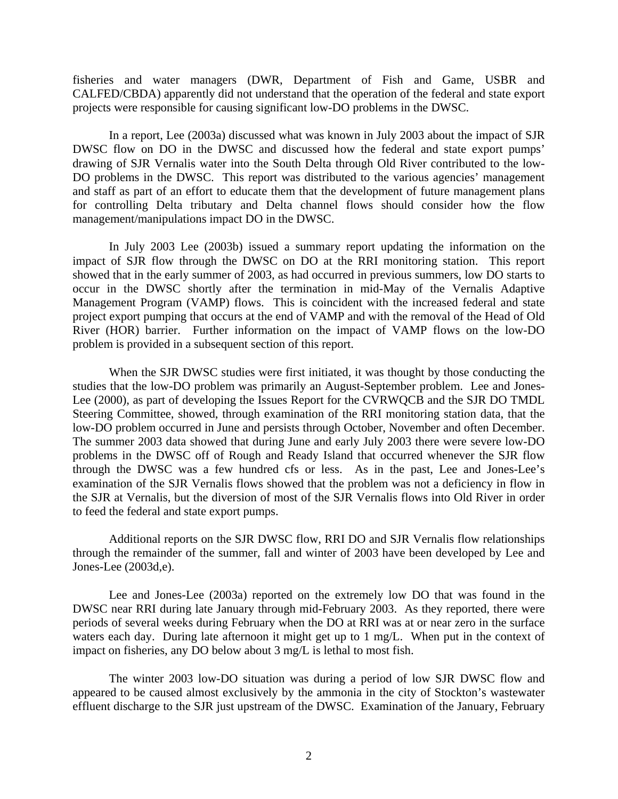fisheries and water managers (DWR, Department of Fish and Game, USBR and CALFED/CBDA) apparently did not understand that the operation of the federal and state export projects were responsible for causing significant low-DO problems in the DWSC.

 In a report, Lee (2003a) discussed what was known in July 2003 about the impact of SJR DWSC flow on DO in the DWSC and discussed how the federal and state export pumps' drawing of SJR Vernalis water into the South Delta through Old River contributed to the low-DO problems in the DWSC. This report was distributed to the various agencies' management and staff as part of an effort to educate them that the development of future management plans for controlling Delta tributary and Delta channel flows should consider how the flow management/manipulations impact DO in the DWSC.

 In July 2003 Lee (2003b) issued a summary report updating the information on the impact of SJR flow through the DWSC on DO at the RRI monitoring station. This report showed that in the early summer of 2003, as had occurred in previous summers, low DO starts to occur in the DWSC shortly after the termination in mid-May of the Vernalis Adaptive Management Program (VAMP) flows. This is coincident with the increased federal and state project export pumping that occurs at the end of VAMP and with the removal of the Head of Old River (HOR) barrier. Further information on the impact of VAMP flows on the low-DO problem is provided in a subsequent section of this report.

 When the SJR DWSC studies were first initiated, it was thought by those conducting the studies that the low-DO problem was primarily an August-September problem. Lee and Jones-Lee (2000), as part of developing the Issues Report for the CVRWQCB and the SJR DO TMDL Steering Committee, showed, through examination of the RRI monitoring station data, that the low-DO problem occurred in June and persists through October, November and often December. The summer 2003 data showed that during June and early July 2003 there were severe low-DO problems in the DWSC off of Rough and Ready Island that occurred whenever the SJR flow through the DWSC was a few hundred cfs or less. As in the past, Lee and Jones-Lee's examination of the SJR Vernalis flows showed that the problem was not a deficiency in flow in the SJR at Vernalis, but the diversion of most of the SJR Vernalis flows into Old River in order to feed the federal and state export pumps.

 Additional reports on the SJR DWSC flow, RRI DO and SJR Vernalis flow relationships through the remainder of the summer, fall and winter of 2003 have been developed by Lee and Jones-Lee (2003d,e).

 Lee and Jones-Lee (2003a) reported on the extremely low DO that was found in the DWSC near RRI during late January through mid-February 2003. As they reported, there were periods of several weeks during February when the DO at RRI was at or near zero in the surface waters each day. During late afternoon it might get up to 1 mg/L. When put in the context of impact on fisheries, any DO below about 3 mg/L is lethal to most fish.

 The winter 2003 low-DO situation was during a period of low SJR DWSC flow and appeared to be caused almost exclusively by the ammonia in the city of Stockton's wastewater effluent discharge to the SJR just upstream of the DWSC. Examination of the January, February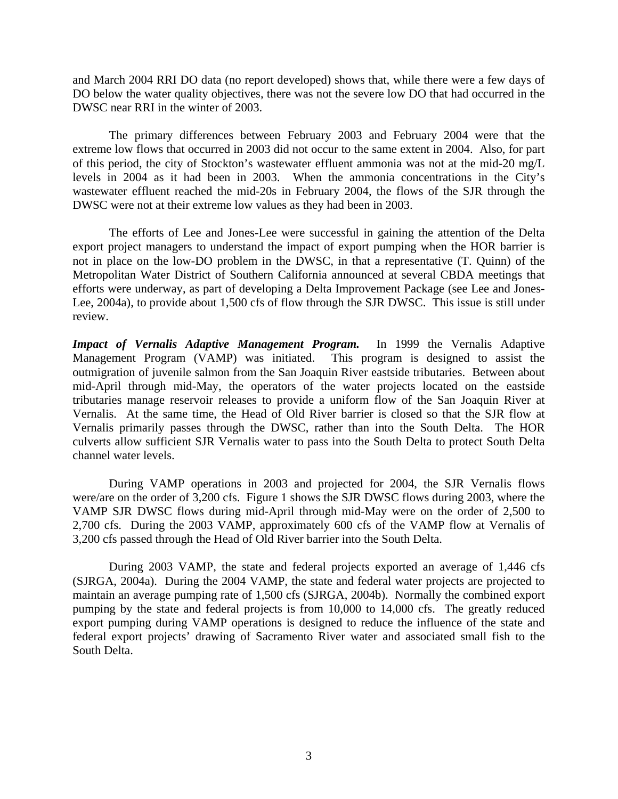and March 2004 RRI DO data (no report developed) shows that, while there were a few days of DO below the water quality objectives, there was not the severe low DO that had occurred in the DWSC near RRI in the winter of 2003.

 The primary differences between February 2003 and February 2004 were that the extreme low flows that occurred in 2003 did not occur to the same extent in 2004. Also, for part of this period, the city of Stockton's wastewater effluent ammonia was not at the mid-20 mg/L levels in 2004 as it had been in 2003. When the ammonia concentrations in the City's wastewater effluent reached the mid-20s in February 2004, the flows of the SJR through the DWSC were not at their extreme low values as they had been in 2003.

 The efforts of Lee and Jones-Lee were successful in gaining the attention of the Delta export project managers to understand the impact of export pumping when the HOR barrier is not in place on the low-DO problem in the DWSC, in that a representative (T. Quinn) of the Metropolitan Water District of Southern California announced at several CBDA meetings that efforts were underway, as part of developing a Delta Improvement Package (see Lee and Jones-Lee, 2004a), to provide about 1,500 cfs of flow through the SJR DWSC. This issue is still under review.

*Impact of Vernalis Adaptive Management Program.* In 1999 the Vernalis Adaptive Management Program (VAMP) was initiated. This program is designed to assist the outmigration of juvenile salmon from the San Joaquin River eastside tributaries. Between about mid-April through mid-May, the operators of the water projects located on the eastside tributaries manage reservoir releases to provide a uniform flow of the San Joaquin River at Vernalis. At the same time, the Head of Old River barrier is closed so that the SJR flow at Vernalis primarily passes through the DWSC, rather than into the South Delta. The HOR culverts allow sufficient SJR Vernalis water to pass into the South Delta to protect South Delta channel water levels.

 During VAMP operations in 2003 and projected for 2004, the SJR Vernalis flows were/are on the order of 3,200 cfs. Figure 1 shows the SJR DWSC flows during 2003, where the VAMP SJR DWSC flows during mid-April through mid-May were on the order of 2,500 to 2,700 cfs. During the 2003 VAMP, approximately 600 cfs of the VAMP flow at Vernalis of 3,200 cfs passed through the Head of Old River barrier into the South Delta.

 During 2003 VAMP, the state and federal projects exported an average of 1,446 cfs (SJRGA, 2004a). During the 2004 VAMP, the state and federal water projects are projected to maintain an average pumping rate of 1,500 cfs (SJRGA, 2004b). Normally the combined export pumping by the state and federal projects is from 10,000 to 14,000 cfs. The greatly reduced export pumping during VAMP operations is designed to reduce the influence of the state and federal export projects' drawing of Sacramento River water and associated small fish to the South Delta.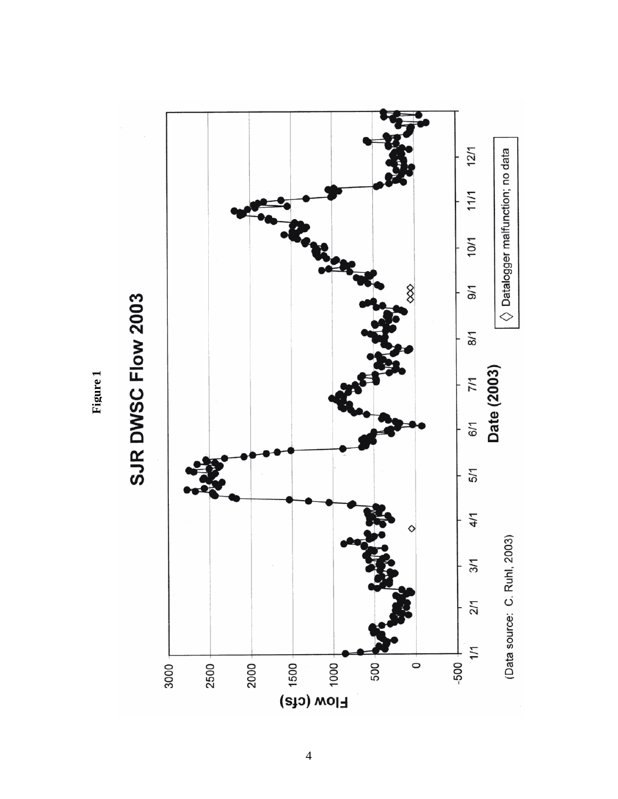

**Figure 1**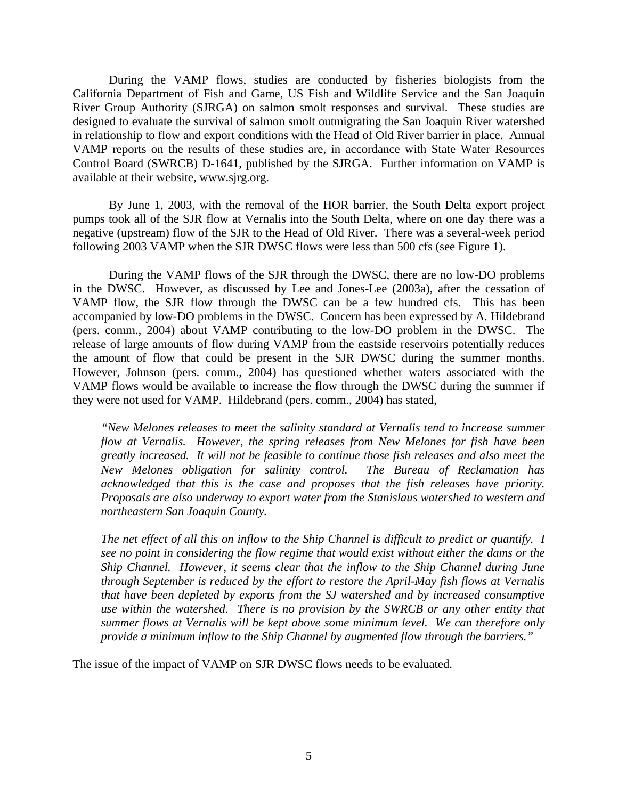During the VAMP flows, studies are conducted by fisheries biologists from the California Department of Fish and Game, US Fish and Wildlife Service and the San Joaquin River Group Authority (SJRGA) on salmon smolt responses and survival. These studies are designed to evaluate the survival of salmon smolt outmigrating the San Joaquin River watershed in relationship to flow and export conditions with the Head of Old River barrier in place. Annual VAMP reports on the results of these studies are, in accordance with State Water Resources Control Board (SWRCB) D-1641, published by the SJRGA. Further information on VAMP is available at their website, www.sjrg.org.

 By June 1, 2003, with the removal of the HOR barrier, the South Delta export project pumps took all of the SJR flow at Vernalis into the South Delta, where on one day there was a negative (upstream) flow of the SJR to the Head of Old River. There was a several-week period following 2003 VAMP when the SJR DWSC flows were less than 500 cfs (see Figure 1).

 During the VAMP flows of the SJR through the DWSC, there are no low-DO problems in the DWSC. However, as discussed by Lee and Jones-Lee (2003a), after the cessation of VAMP flow, the SJR flow through the DWSC can be a few hundred cfs. This has been accompanied by low-DO problems in the DWSC. Concern has been expressed by A. Hildebrand (pers. comm., 2004) about VAMP contributing to the low-DO problem in the DWSC. The release of large amounts of flow during VAMP from the eastside reservoirs potentially reduces the amount of flow that could be present in the SJR DWSC during the summer months. However, Johnson (pers. comm., 2004) has questioned whether waters associated with the VAMP flows would be available to increase the flow through the DWSC during the summer if they were not used for VAMP. Hildebrand (pers. comm., 2004) has stated,

*"New Melones releases to meet the salinity standard at Vernalis tend to increase summer flow at Vernalis. However, the spring releases from New Melones for fish have been greatly increased. It will not be feasible to continue those fish releases and also meet the New Melones obligation for salinity control. The Bureau of Reclamation has acknowledged that this is the case and proposes that the fish releases have priority. Proposals are also underway to export water from the Stanislaus watershed to western and northeastern San Joaquin County.* 

*The net effect of all this on inflow to the Ship Channel is difficult to predict or quantify. I see no point in considering the flow regime that would exist without either the dams or the Ship Channel. However, it seems clear that the inflow to the Ship Channel during June through September is reduced by the effort to restore the April-May fish flows at Vernalis that have been depleted by exports from the SJ watershed and by increased consumptive use within the watershed. There is no provision by the SWRCB or any other entity that summer flows at Vernalis will be kept above some minimum level. We can therefore only provide a minimum inflow to the Ship Channel by augmented flow through the barriers."* 

The issue of the impact of VAMP on SJR DWSC flows needs to be evaluated.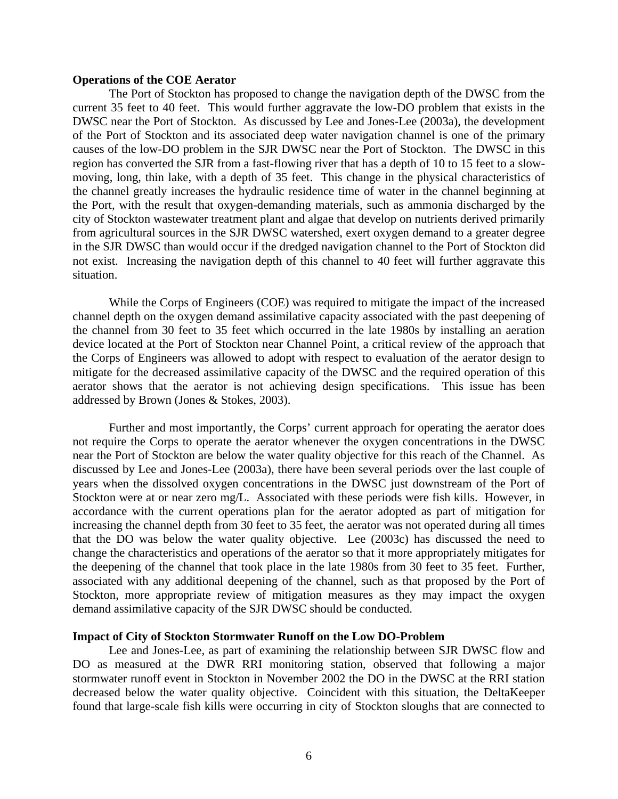### **Operations of the COE Aerator**

The Port of Stockton has proposed to change the navigation depth of the DWSC from the current 35 feet to 40 feet. This would further aggravate the low-DO problem that exists in the DWSC near the Port of Stockton. As discussed by Lee and Jones-Lee (2003a), the development of the Port of Stockton and its associated deep water navigation channel is one of the primary causes of the low-DO problem in the SJR DWSC near the Port of Stockton. The DWSC in this region has converted the SJR from a fast-flowing river that has a depth of 10 to 15 feet to a slowmoving, long, thin lake, with a depth of 35 feet. This change in the physical characteristics of the channel greatly increases the hydraulic residence time of water in the channel beginning at the Port, with the result that oxygen-demanding materials, such as ammonia discharged by the city of Stockton wastewater treatment plant and algae that develop on nutrients derived primarily from agricultural sources in the SJR DWSC watershed, exert oxygen demand to a greater degree in the SJR DWSC than would occur if the dredged navigation channel to the Port of Stockton did not exist. Increasing the navigation depth of this channel to 40 feet will further aggravate this situation.

 While the Corps of Engineers (COE) was required to mitigate the impact of the increased channel depth on the oxygen demand assimilative capacity associated with the past deepening of the channel from 30 feet to 35 feet which occurred in the late 1980s by installing an aeration device located at the Port of Stockton near Channel Point, a critical review of the approach that the Corps of Engineers was allowed to adopt with respect to evaluation of the aerator design to mitigate for the decreased assimilative capacity of the DWSC and the required operation of this aerator shows that the aerator is not achieving design specifications. This issue has been addressed by Brown (Jones & Stokes, 2003).

 Further and most importantly, the Corps' current approach for operating the aerator does not require the Corps to operate the aerator whenever the oxygen concentrations in the DWSC near the Port of Stockton are below the water quality objective for this reach of the Channel. As discussed by Lee and Jones-Lee (2003a), there have been several periods over the last couple of years when the dissolved oxygen concentrations in the DWSC just downstream of the Port of Stockton were at or near zero mg/L. Associated with these periods were fish kills. However, in accordance with the current operations plan for the aerator adopted as part of mitigation for increasing the channel depth from 30 feet to 35 feet, the aerator was not operated during all times that the DO was below the water quality objective. Lee (2003c) has discussed the need to change the characteristics and operations of the aerator so that it more appropriately mitigates for the deepening of the channel that took place in the late 1980s from 30 feet to 35 feet. Further, associated with any additional deepening of the channel, such as that proposed by the Port of Stockton, more appropriate review of mitigation measures as they may impact the oxygen demand assimilative capacity of the SJR DWSC should be conducted.

#### **Impact of City of Stockton Stormwater Runoff on the Low DO-Problem**

 Lee and Jones-Lee, as part of examining the relationship between SJR DWSC flow and DO as measured at the DWR RRI monitoring station, observed that following a major stormwater runoff event in Stockton in November 2002 the DO in the DWSC at the RRI station decreased below the water quality objective. Coincident with this situation, the DeltaKeeper found that large-scale fish kills were occurring in city of Stockton sloughs that are connected to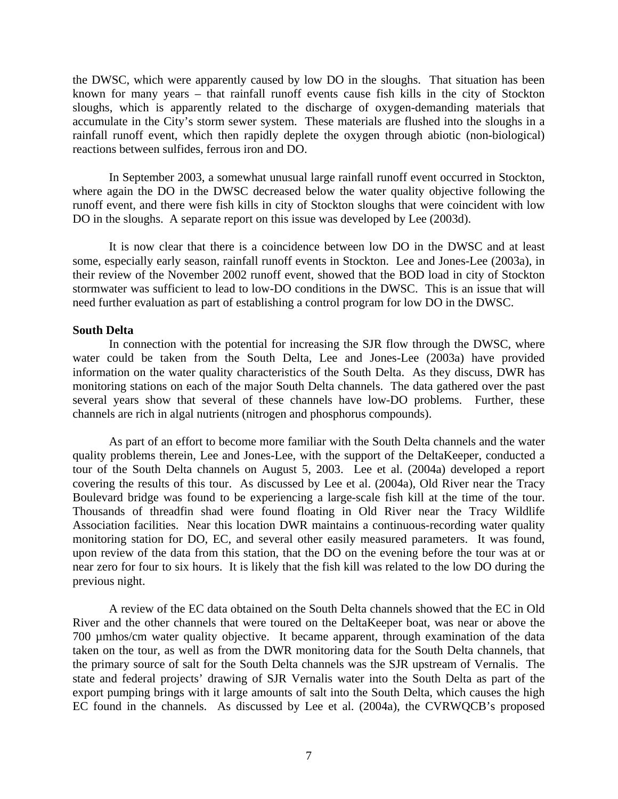the DWSC, which were apparently caused by low DO in the sloughs. That situation has been known for many years – that rainfall runoff events cause fish kills in the city of Stockton sloughs, which is apparently related to the discharge of oxygen-demanding materials that accumulate in the City's storm sewer system. These materials are flushed into the sloughs in a rainfall runoff event, which then rapidly deplete the oxygen through abiotic (non-biological) reactions between sulfides, ferrous iron and DO.

 In September 2003, a somewhat unusual large rainfall runoff event occurred in Stockton, where again the DO in the DWSC decreased below the water quality objective following the runoff event, and there were fish kills in city of Stockton sloughs that were coincident with low DO in the sloughs. A separate report on this issue was developed by Lee (2003d).

 It is now clear that there is a coincidence between low DO in the DWSC and at least some, especially early season, rainfall runoff events in Stockton. Lee and Jones-Lee (2003a), in their review of the November 2002 runoff event, showed that the BOD load in city of Stockton stormwater was sufficient to lead to low-DO conditions in the DWSC. This is an issue that will need further evaluation as part of establishing a control program for low DO in the DWSC.

## **South Delta**

In connection with the potential for increasing the SJR flow through the DWSC, where water could be taken from the South Delta, Lee and Jones-Lee (2003a) have provided information on the water quality characteristics of the South Delta. As they discuss, DWR has monitoring stations on each of the major South Delta channels. The data gathered over the past several years show that several of these channels have low-DO problems. Further, these channels are rich in algal nutrients (nitrogen and phosphorus compounds).

 As part of an effort to become more familiar with the South Delta channels and the water quality problems therein, Lee and Jones-Lee, with the support of the DeltaKeeper, conducted a tour of the South Delta channels on August 5, 2003. Lee et al. (2004a) developed a report covering the results of this tour. As discussed by Lee et al. (2004a), Old River near the Tracy Boulevard bridge was found to be experiencing a large-scale fish kill at the time of the tour. Thousands of threadfin shad were found floating in Old River near the Tracy Wildlife Association facilities. Near this location DWR maintains a continuous-recording water quality monitoring station for DO, EC, and several other easily measured parameters. It was found, upon review of the data from this station, that the DO on the evening before the tour was at or near zero for four to six hours. It is likely that the fish kill was related to the low DO during the previous night.

 A review of the EC data obtained on the South Delta channels showed that the EC in Old River and the other channels that were toured on the DeltaKeeper boat, was near or above the 700 µmhos/cm water quality objective. It became apparent, through examination of the data taken on the tour, as well as from the DWR monitoring data for the South Delta channels, that the primary source of salt for the South Delta channels was the SJR upstream of Vernalis. The state and federal projects' drawing of SJR Vernalis water into the South Delta as part of the export pumping brings with it large amounts of salt into the South Delta, which causes the high EC found in the channels. As discussed by Lee et al. (2004a), the CVRWQCB's proposed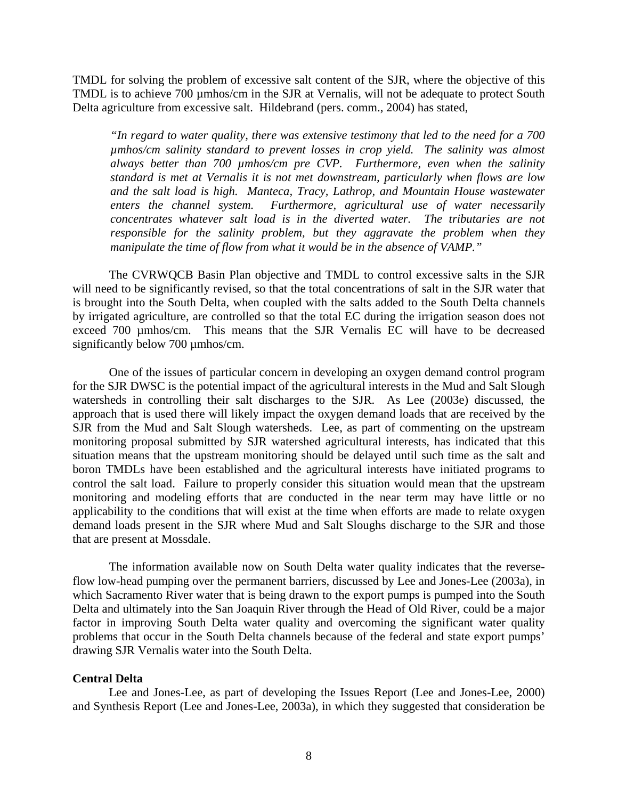TMDL for solving the problem of excessive salt content of the SJR, where the objective of this TMDL is to achieve 700 µmhos/cm in the SJR at Vernalis, will not be adequate to protect South Delta agriculture from excessive salt. Hildebrand (pers. comm., 2004) has stated,

*"In regard to water quality, there was extensive testimony that led to the need for a 700 µmhos/cm salinity standard to prevent losses in crop yield. The salinity was almost always better than 700 µmhos/cm pre CVP. Furthermore, even when the salinity standard is met at Vernalis it is not met downstream, particularly when flows are low and the salt load is high. Manteca, Tracy, Lathrop, and Mountain House wastewater enters the channel system. Furthermore, agricultural use of water necessarily concentrates whatever salt load is in the diverted water. The tributaries are not responsible for the salinity problem, but they aggravate the problem when they manipulate the time of flow from what it would be in the absence of VAMP."* 

 The CVRWQCB Basin Plan objective and TMDL to control excessive salts in the SJR will need to be significantly revised, so that the total concentrations of salt in the SJR water that is brought into the South Delta, when coupled with the salts added to the South Delta channels by irrigated agriculture, are controlled so that the total EC during the irrigation season does not exceed 700 umhos/cm. This means that the SJR Vernalis EC will have to be decreased significantly below 700 µmhos/cm.

 One of the issues of particular concern in developing an oxygen demand control program for the SJR DWSC is the potential impact of the agricultural interests in the Mud and Salt Slough watersheds in controlling their salt discharges to the SJR. As Lee (2003e) discussed, the approach that is used there will likely impact the oxygen demand loads that are received by the SJR from the Mud and Salt Slough watersheds. Lee, as part of commenting on the upstream monitoring proposal submitted by SJR watershed agricultural interests, has indicated that this situation means that the upstream monitoring should be delayed until such time as the salt and boron TMDLs have been established and the agricultural interests have initiated programs to control the salt load. Failure to properly consider this situation would mean that the upstream monitoring and modeling efforts that are conducted in the near term may have little or no applicability to the conditions that will exist at the time when efforts are made to relate oxygen demand loads present in the SJR where Mud and Salt Sloughs discharge to the SJR and those that are present at Mossdale.

 The information available now on South Delta water quality indicates that the reverseflow low-head pumping over the permanent barriers, discussed by Lee and Jones-Lee (2003a), in which Sacramento River water that is being drawn to the export pumps is pumped into the South Delta and ultimately into the San Joaquin River through the Head of Old River, could be a major factor in improving South Delta water quality and overcoming the significant water quality problems that occur in the South Delta channels because of the federal and state export pumps' drawing SJR Vernalis water into the South Delta.

## **Central Delta**

 Lee and Jones-Lee, as part of developing the Issues Report (Lee and Jones-Lee, 2000) and Synthesis Report (Lee and Jones-Lee, 2003a), in which they suggested that consideration be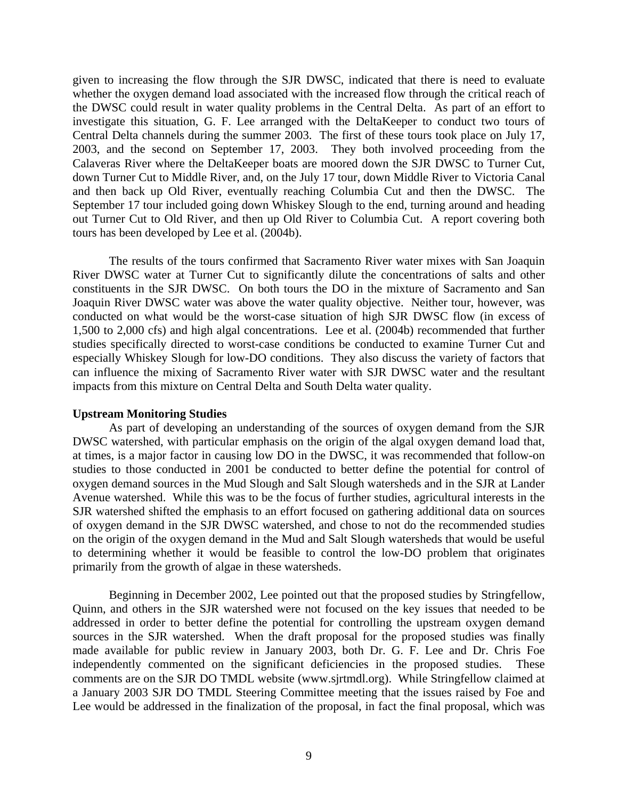given to increasing the flow through the SJR DWSC, indicated that there is need to evaluate whether the oxygen demand load associated with the increased flow through the critical reach of the DWSC could result in water quality problems in the Central Delta. As part of an effort to investigate this situation, G. F. Lee arranged with the DeltaKeeper to conduct two tours of Central Delta channels during the summer 2003. The first of these tours took place on July 17, 2003, and the second on September 17, 2003. They both involved proceeding from the Calaveras River where the DeltaKeeper boats are moored down the SJR DWSC to Turner Cut, down Turner Cut to Middle River, and, on the July 17 tour, down Middle River to Victoria Canal and then back up Old River, eventually reaching Columbia Cut and then the DWSC. The September 17 tour included going down Whiskey Slough to the end, turning around and heading out Turner Cut to Old River, and then up Old River to Columbia Cut. A report covering both tours has been developed by Lee et al. (2004b).

 The results of the tours confirmed that Sacramento River water mixes with San Joaquin River DWSC water at Turner Cut to significantly dilute the concentrations of salts and other constituents in the SJR DWSC. On both tours the DO in the mixture of Sacramento and San Joaquin River DWSC water was above the water quality objective. Neither tour, however, was conducted on what would be the worst-case situation of high SJR DWSC flow (in excess of 1,500 to 2,000 cfs) and high algal concentrations. Lee et al. (2004b) recommended that further studies specifically directed to worst-case conditions be conducted to examine Turner Cut and especially Whiskey Slough for low-DO conditions. They also discuss the variety of factors that can influence the mixing of Sacramento River water with SJR DWSC water and the resultant impacts from this mixture on Central Delta and South Delta water quality.

#### **Upstream Monitoring Studies**

 As part of developing an understanding of the sources of oxygen demand from the SJR DWSC watershed, with particular emphasis on the origin of the algal oxygen demand load that, at times, is a major factor in causing low DO in the DWSC, it was recommended that follow-on studies to those conducted in 2001 be conducted to better define the potential for control of oxygen demand sources in the Mud Slough and Salt Slough watersheds and in the SJR at Lander Avenue watershed. While this was to be the focus of further studies, agricultural interests in the SJR watershed shifted the emphasis to an effort focused on gathering additional data on sources of oxygen demand in the SJR DWSC watershed, and chose to not do the recommended studies on the origin of the oxygen demand in the Mud and Salt Slough watersheds that would be useful to determining whether it would be feasible to control the low-DO problem that originates primarily from the growth of algae in these watersheds.

 Beginning in December 2002, Lee pointed out that the proposed studies by Stringfellow, Quinn, and others in the SJR watershed were not focused on the key issues that needed to be addressed in order to better define the potential for controlling the upstream oxygen demand sources in the SJR watershed. When the draft proposal for the proposed studies was finally made available for public review in January 2003, both Dr. G. F. Lee and Dr. Chris Foe independently commented on the significant deficiencies in the proposed studies. These comments are on the SJR DO TMDL website (www.sjrtmdl.org). While Stringfellow claimed at a January 2003 SJR DO TMDL Steering Committee meeting that the issues raised by Foe and Lee would be addressed in the finalization of the proposal, in fact the final proposal, which was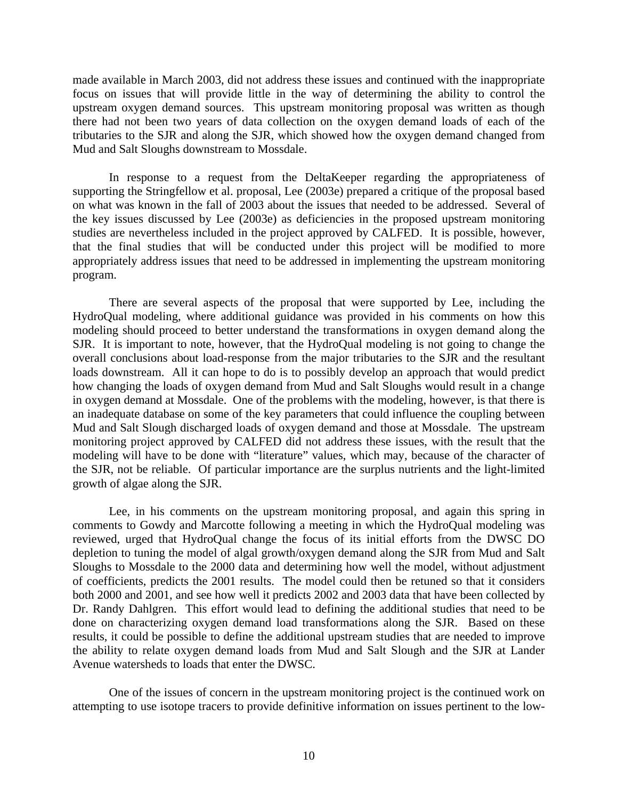made available in March 2003, did not address these issues and continued with the inappropriate focus on issues that will provide little in the way of determining the ability to control the upstream oxygen demand sources. This upstream monitoring proposal was written as though there had not been two years of data collection on the oxygen demand loads of each of the tributaries to the SJR and along the SJR, which showed how the oxygen demand changed from Mud and Salt Sloughs downstream to Mossdale.

 In response to a request from the DeltaKeeper regarding the appropriateness of supporting the Stringfellow et al. proposal, Lee (2003e) prepared a critique of the proposal based on what was known in the fall of 2003 about the issues that needed to be addressed. Several of the key issues discussed by Lee (2003e) as deficiencies in the proposed upstream monitoring studies are nevertheless included in the project approved by CALFED. It is possible, however, that the final studies that will be conducted under this project will be modified to more appropriately address issues that need to be addressed in implementing the upstream monitoring program.

 There are several aspects of the proposal that were supported by Lee, including the HydroQual modeling, where additional guidance was provided in his comments on how this modeling should proceed to better understand the transformations in oxygen demand along the SJR. It is important to note, however, that the HydroQual modeling is not going to change the overall conclusions about load-response from the major tributaries to the SJR and the resultant loads downstream. All it can hope to do is to possibly develop an approach that would predict how changing the loads of oxygen demand from Mud and Salt Sloughs would result in a change in oxygen demand at Mossdale. One of the problems with the modeling, however, is that there is an inadequate database on some of the key parameters that could influence the coupling between Mud and Salt Slough discharged loads of oxygen demand and those at Mossdale. The upstream monitoring project approved by CALFED did not address these issues, with the result that the modeling will have to be done with "literature" values, which may, because of the character of the SJR, not be reliable. Of particular importance are the surplus nutrients and the light-limited growth of algae along the SJR.

Lee, in his comments on the upstream monitoring proposal, and again this spring in comments to Gowdy and Marcotte following a meeting in which the HydroQual modeling was reviewed, urged that HydroQual change the focus of its initial efforts from the DWSC DO depletion to tuning the model of algal growth/oxygen demand along the SJR from Mud and Salt Sloughs to Mossdale to the 2000 data and determining how well the model, without adjustment of coefficients, predicts the 2001 results. The model could then be retuned so that it considers both 2000 and 2001, and see how well it predicts 2002 and 2003 data that have been collected by Dr. Randy Dahlgren. This effort would lead to defining the additional studies that need to be done on characterizing oxygen demand load transformations along the SJR. Based on these results, it could be possible to define the additional upstream studies that are needed to improve the ability to relate oxygen demand loads from Mud and Salt Slough and the SJR at Lander Avenue watersheds to loads that enter the DWSC.

 One of the issues of concern in the upstream monitoring project is the continued work on attempting to use isotope tracers to provide definitive information on issues pertinent to the low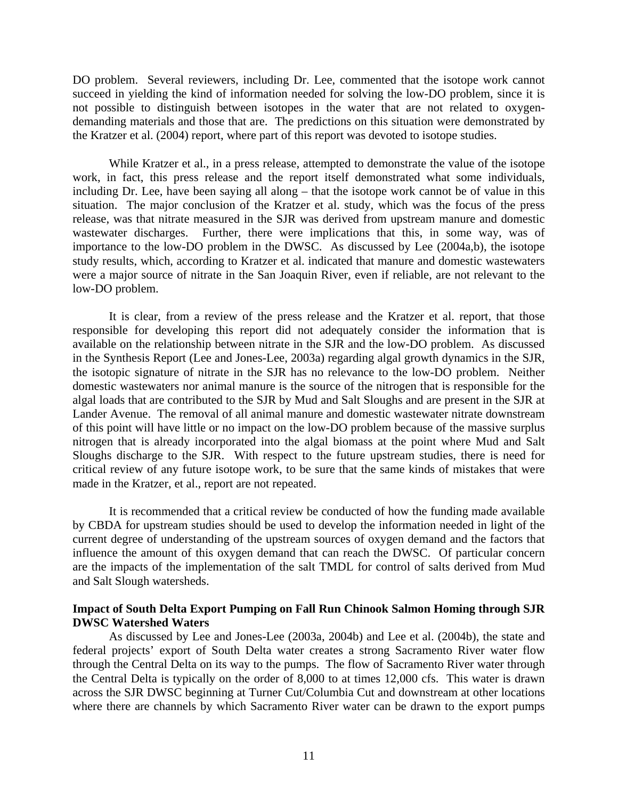DO problem. Several reviewers, including Dr. Lee, commented that the isotope work cannot succeed in yielding the kind of information needed for solving the low-DO problem, since it is not possible to distinguish between isotopes in the water that are not related to oxygendemanding materials and those that are. The predictions on this situation were demonstrated by the Kratzer et al. (2004) report, where part of this report was devoted to isotope studies.

 While Kratzer et al., in a press release, attempted to demonstrate the value of the isotope work, in fact, this press release and the report itself demonstrated what some individuals, including Dr. Lee, have been saying all along – that the isotope work cannot be of value in this situation. The major conclusion of the Kratzer et al. study, which was the focus of the press release, was that nitrate measured in the SJR was derived from upstream manure and domestic wastewater discharges. Further, there were implications that this, in some way, was of importance to the low-DO problem in the DWSC. As discussed by Lee (2004a,b), the isotope study results, which, according to Kratzer et al. indicated that manure and domestic wastewaters were a major source of nitrate in the San Joaquin River, even if reliable, are not relevant to the low-DO problem.

 It is clear, from a review of the press release and the Kratzer et al. report, that those responsible for developing this report did not adequately consider the information that is available on the relationship between nitrate in the SJR and the low-DO problem. As discussed in the Synthesis Report (Lee and Jones-Lee, 2003a) regarding algal growth dynamics in the SJR, the isotopic signature of nitrate in the SJR has no relevance to the low-DO problem. Neither domestic wastewaters nor animal manure is the source of the nitrogen that is responsible for the algal loads that are contributed to the SJR by Mud and Salt Sloughs and are present in the SJR at Lander Avenue. The removal of all animal manure and domestic wastewater nitrate downstream of this point will have little or no impact on the low-DO problem because of the massive surplus nitrogen that is already incorporated into the algal biomass at the point where Mud and Salt Sloughs discharge to the SJR. With respect to the future upstream studies, there is need for critical review of any future isotope work, to be sure that the same kinds of mistakes that were made in the Kratzer, et al., report are not repeated.

 It is recommended that a critical review be conducted of how the funding made available by CBDA for upstream studies should be used to develop the information needed in light of the current degree of understanding of the upstream sources of oxygen demand and the factors that influence the amount of this oxygen demand that can reach the DWSC. Of particular concern are the impacts of the implementation of the salt TMDL for control of salts derived from Mud and Salt Slough watersheds.

## **Impact of South Delta Export Pumping on Fall Run Chinook Salmon Homing through SJR DWSC Watershed Waters**

 As discussed by Lee and Jones-Lee (2003a, 2004b) and Lee et al. (2004b), the state and federal projects' export of South Delta water creates a strong Sacramento River water flow through the Central Delta on its way to the pumps. The flow of Sacramento River water through the Central Delta is typically on the order of 8,000 to at times 12,000 cfs. This water is drawn across the SJR DWSC beginning at Turner Cut/Columbia Cut and downstream at other locations where there are channels by which Sacramento River water can be drawn to the export pumps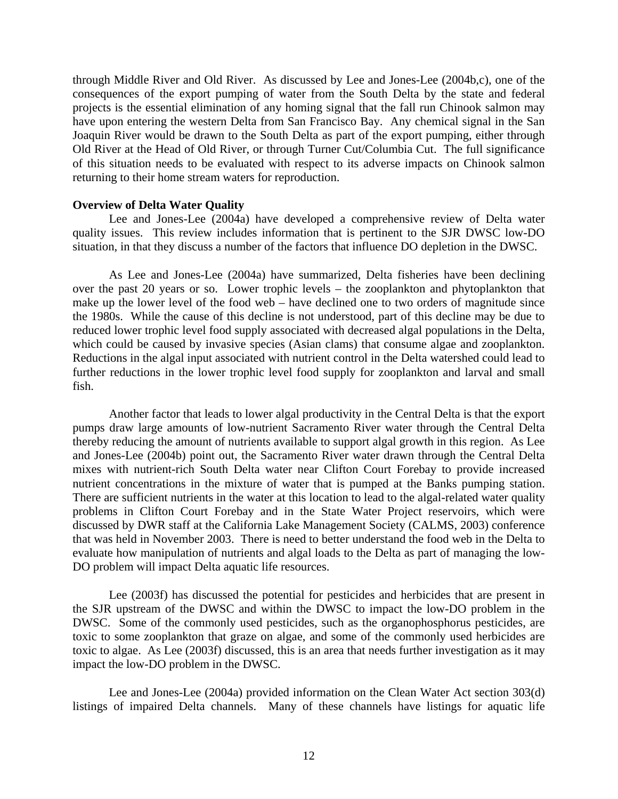through Middle River and Old River. As discussed by Lee and Jones-Lee (2004b,c), one of the consequences of the export pumping of water from the South Delta by the state and federal projects is the essential elimination of any homing signal that the fall run Chinook salmon may have upon entering the western Delta from San Francisco Bay. Any chemical signal in the San Joaquin River would be drawn to the South Delta as part of the export pumping, either through Old River at the Head of Old River, or through Turner Cut/Columbia Cut. The full significance of this situation needs to be evaluated with respect to its adverse impacts on Chinook salmon returning to their home stream waters for reproduction.

#### **Overview of Delta Water Quality**

 Lee and Jones-Lee (2004a) have developed a comprehensive review of Delta water quality issues. This review includes information that is pertinent to the SJR DWSC low-DO situation, in that they discuss a number of the factors that influence DO depletion in the DWSC.

As Lee and Jones-Lee (2004a) have summarized, Delta fisheries have been declining over the past 20 years or so. Lower trophic levels – the zooplankton and phytoplankton that make up the lower level of the food web – have declined one to two orders of magnitude since the 1980s. While the cause of this decline is not understood, part of this decline may be due to reduced lower trophic level food supply associated with decreased algal populations in the Delta, which could be caused by invasive species (Asian clams) that consume algae and zooplankton. Reductions in the algal input associated with nutrient control in the Delta watershed could lead to further reductions in the lower trophic level food supply for zooplankton and larval and small fish.

Another factor that leads to lower algal productivity in the Central Delta is that the export pumps draw large amounts of low-nutrient Sacramento River water through the Central Delta thereby reducing the amount of nutrients available to support algal growth in this region. As Lee and Jones-Lee (2004b) point out, the Sacramento River water drawn through the Central Delta mixes with nutrient-rich South Delta water near Clifton Court Forebay to provide increased nutrient concentrations in the mixture of water that is pumped at the Banks pumping station. There are sufficient nutrients in the water at this location to lead to the algal-related water quality problems in Clifton Court Forebay and in the State Water Project reservoirs, which were discussed by DWR staff at the California Lake Management Society (CALMS, 2003) conference that was held in November 2003. There is need to better understand the food web in the Delta to evaluate how manipulation of nutrients and algal loads to the Delta as part of managing the low-DO problem will impact Delta aquatic life resources.

 Lee (2003f) has discussed the potential for pesticides and herbicides that are present in the SJR upstream of the DWSC and within the DWSC to impact the low-DO problem in the DWSC. Some of the commonly used pesticides, such as the organophosphorus pesticides, are toxic to some zooplankton that graze on algae, and some of the commonly used herbicides are toxic to algae. As Lee (2003f) discussed, this is an area that needs further investigation as it may impact the low-DO problem in the DWSC.

 Lee and Jones-Lee (2004a) provided information on the Clean Water Act section 303(d) listings of impaired Delta channels. Many of these channels have listings for aquatic life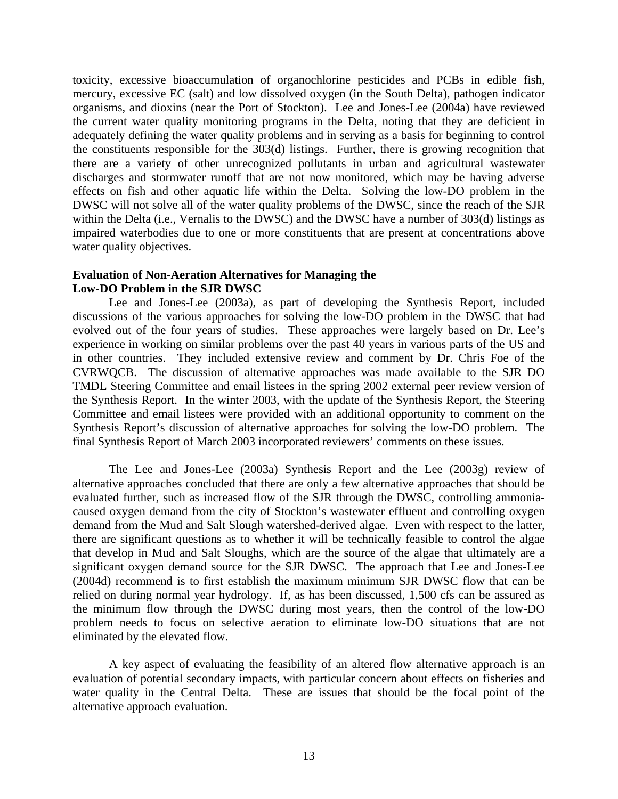toxicity, excessive bioaccumulation of organochlorine pesticides and PCBs in edible fish, mercury, excessive EC (salt) and low dissolved oxygen (in the South Delta), pathogen indicator organisms, and dioxins (near the Port of Stockton). Lee and Jones-Lee (2004a) have reviewed the current water quality monitoring programs in the Delta, noting that they are deficient in adequately defining the water quality problems and in serving as a basis for beginning to control the constituents responsible for the 303(d) listings. Further, there is growing recognition that there are a variety of other unrecognized pollutants in urban and agricultural wastewater discharges and stormwater runoff that are not now monitored, which may be having adverse effects on fish and other aquatic life within the Delta. Solving the low-DO problem in the DWSC will not solve all of the water quality problems of the DWSC, since the reach of the SJR within the Delta (i.e., Vernalis to the DWSC) and the DWSC have a number of 303(d) listings as impaired waterbodies due to one or more constituents that are present at concentrations above water quality objectives.

## **Evaluation of Non-Aeration Alternatives for Managing the Low-DO Problem in the SJR DWSC**

 Lee and Jones-Lee (2003a), as part of developing the Synthesis Report, included discussions of the various approaches for solving the low-DO problem in the DWSC that had evolved out of the four years of studies. These approaches were largely based on Dr. Lee's experience in working on similar problems over the past 40 years in various parts of the US and in other countries. They included extensive review and comment by Dr. Chris Foe of the CVRWQCB. The discussion of alternative approaches was made available to the SJR DO TMDL Steering Committee and email listees in the spring 2002 external peer review version of the Synthesis Report. In the winter 2003, with the update of the Synthesis Report, the Steering Committee and email listees were provided with an additional opportunity to comment on the Synthesis Report's discussion of alternative approaches for solving the low-DO problem. The final Synthesis Report of March 2003 incorporated reviewers' comments on these issues.

 The Lee and Jones-Lee (2003a) Synthesis Report and the Lee (2003g) review of alternative approaches concluded that there are only a few alternative approaches that should be evaluated further, such as increased flow of the SJR through the DWSC, controlling ammoniacaused oxygen demand from the city of Stockton's wastewater effluent and controlling oxygen demand from the Mud and Salt Slough watershed-derived algae. Even with respect to the latter, there are significant questions as to whether it will be technically feasible to control the algae that develop in Mud and Salt Sloughs, which are the source of the algae that ultimately are a significant oxygen demand source for the SJR DWSC. The approach that Lee and Jones-Lee (2004d) recommend is to first establish the maximum minimum SJR DWSC flow that can be relied on during normal year hydrology. If, as has been discussed, 1,500 cfs can be assured as the minimum flow through the DWSC during most years, then the control of the low-DO problem needs to focus on selective aeration to eliminate low-DO situations that are not eliminated by the elevated flow.

 A key aspect of evaluating the feasibility of an altered flow alternative approach is an evaluation of potential secondary impacts, with particular concern about effects on fisheries and water quality in the Central Delta. These are issues that should be the focal point of the alternative approach evaluation.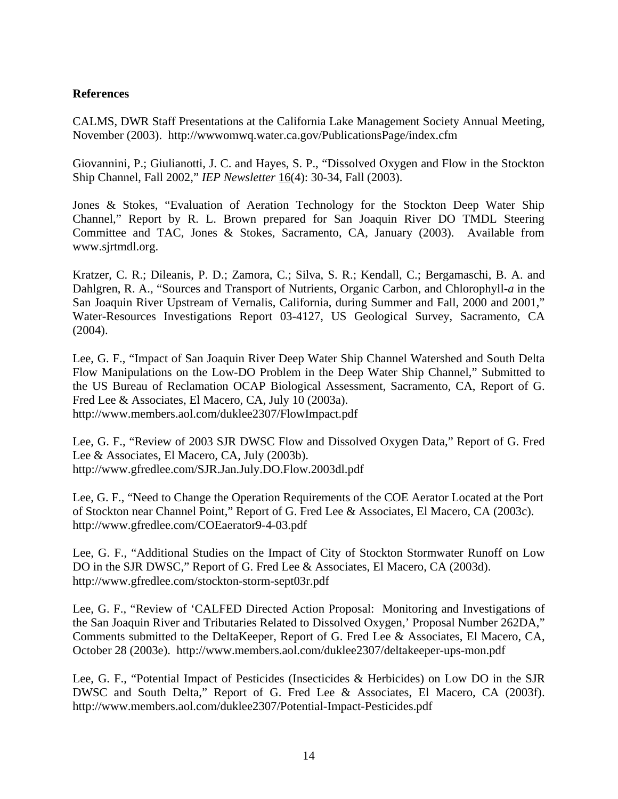## **References**

CALMS, DWR Staff Presentations at the California Lake Management Society Annual Meeting, November (2003). http://wwwomwq.water.ca.gov/PublicationsPage/index.cfm

Giovannini, P.; Giulianotti, J. C. and Hayes, S. P., "Dissolved Oxygen and Flow in the Stockton Ship Channel, Fall 2002," *IEP Newsletter* 16(4): 30-34, Fall (2003).

Jones & Stokes, "Evaluation of Aeration Technology for the Stockton Deep Water Ship Channel," Report by R. L. Brown prepared for San Joaquin River DO TMDL Steering Committee and TAC, Jones & Stokes, Sacramento, CA, January (2003). Available from www.sjrtmdl.org.

Kratzer, C. R.; Dileanis, P. D.; Zamora, C.; Silva, S. R.; Kendall, C.; Bergamaschi, B. A. and Dahlgren, R. A., "Sources and Transport of Nutrients, Organic Carbon, and Chlorophyll-*a* in the San Joaquin River Upstream of Vernalis, California, during Summer and Fall, 2000 and 2001," Water-Resources Investigations Report 03-4127, US Geological Survey, Sacramento, CA (2004).

Lee, G. F., "Impact of San Joaquin River Deep Water Ship Channel Watershed and South Delta Flow Manipulations on the Low-DO Problem in the Deep Water Ship Channel," Submitted to the US Bureau of Reclamation OCAP Biological Assessment, Sacramento, CA, Report of G. Fred Lee & Associates, El Macero, CA, July 10 (2003a). http://www.members.aol.com/duklee2307/FlowImpact.pdf

Lee, G. F., "Review of 2003 SJR DWSC Flow and Dissolved Oxygen Data," Report of G. Fred Lee & Associates, El Macero, CA, July (2003b). http://www.gfredlee.com/SJR.Jan.July.DO.Flow.2003dl.pdf

Lee, G. F., "Need to Change the Operation Requirements of the COE Aerator Located at the Port of Stockton near Channel Point," Report of G. Fred Lee & Associates, El Macero, CA (2003c). http://www.gfredlee.com/COEaerator9-4-03.pdf

Lee, G. F., "Additional Studies on the Impact of City of Stockton Stormwater Runoff on Low DO in the SJR DWSC," Report of G. Fred Lee & Associates, El Macero, CA (2003d). http://www.gfredlee.com/stockton-storm-sept03r.pdf

Lee, G. F., "Review of 'CALFED Directed Action Proposal: Monitoring and Investigations of the San Joaquin River and Tributaries Related to Dissolved Oxygen,' Proposal Number 262DA," Comments submitted to the DeltaKeeper, Report of G. Fred Lee & Associates, El Macero, CA, October 28 (2003e). http://www.members.aol.com/duklee2307/deltakeeper-ups-mon.pdf

Lee, G. F., "Potential Impact of Pesticides (Insecticides & Herbicides) on Low DO in the SJR DWSC and South Delta," Report of G. Fred Lee & Associates, El Macero, CA (2003f). http://www.members.aol.com/duklee2307/Potential-Impact-Pesticides.pdf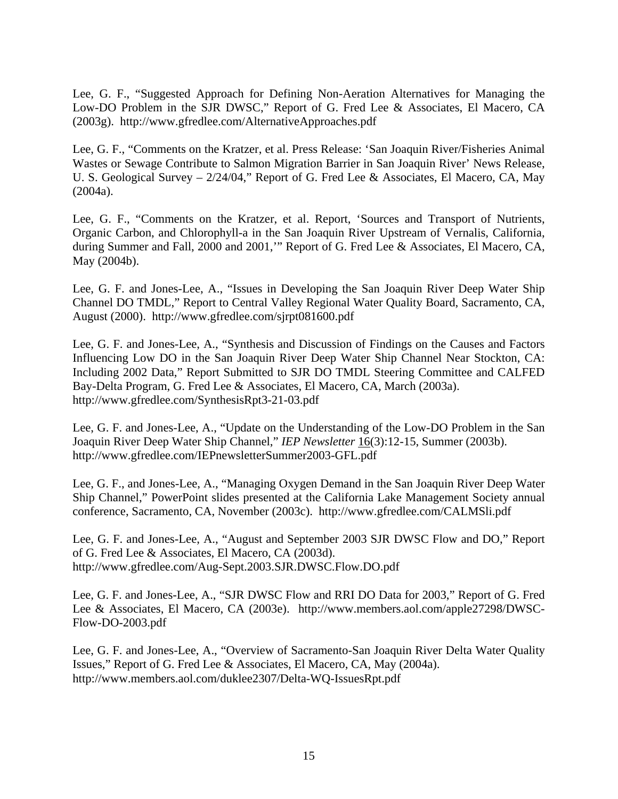Lee, G. F., "Suggested Approach for Defining Non-Aeration Alternatives for Managing the Low-DO Problem in the SJR DWSC," Report of G. Fred Lee & Associates, El Macero, CA (2003g). http://www.gfredlee.com/AlternativeApproaches.pdf

Lee, G. F., "Comments on the Kratzer, et al. Press Release: 'San Joaquin River/Fisheries Animal Wastes or Sewage Contribute to Salmon Migration Barrier in San Joaquin River' News Release, U. S. Geological Survey – 2/24/04," Report of G. Fred Lee & Associates, El Macero, CA, May (2004a).

Lee, G. F., "Comments on the Kratzer, et al. Report, 'Sources and Transport of Nutrients, Organic Carbon, and Chlorophyll-a in the San Joaquin River Upstream of Vernalis, California, during Summer and Fall, 2000 and 2001,'" Report of G. Fred Lee & Associates, El Macero, CA, May (2004b).

Lee, G. F. and Jones-Lee, A., "Issues in Developing the San Joaquin River Deep Water Ship Channel DO TMDL," Report to Central Valley Regional Water Quality Board, Sacramento, CA, August (2000). http://www.gfredlee.com/sjrpt081600.pdf

Lee, G. F. and Jones-Lee, A., "Synthesis and Discussion of Findings on the Causes and Factors Influencing Low DO in the San Joaquin River Deep Water Ship Channel Near Stockton, CA: Including 2002 Data," Report Submitted to SJR DO TMDL Steering Committee and CALFED Bay-Delta Program, G. Fred Lee & Associates, El Macero, CA, March (2003a). http://www.gfredlee.com/SynthesisRpt3-21-03.pdf

Lee, G. F. and Jones-Lee, A., "Update on the Understanding of the Low-DO Problem in the San Joaquin River Deep Water Ship Channel," *IEP Newsletter* 16(3):12-15, Summer (2003b). http://www.gfredlee.com/IEPnewsletterSummer2003-GFL.pdf

Lee, G. F., and Jones-Lee, A., "Managing Oxygen Demand in the San Joaquin River Deep Water Ship Channel," PowerPoint slides presented at the California Lake Management Society annual conference, Sacramento, CA, November (2003c). http://www.gfredlee.com/CALMSli.pdf

Lee, G. F. and Jones-Lee, A., "August and September 2003 SJR DWSC Flow and DO," Report of G. Fred Lee & Associates, El Macero, CA (2003d). http://www.gfredlee.com/Aug-Sept.2003.SJR.DWSC.Flow.DO.pdf

Lee, G. F. and Jones-Lee, A., "SJR DWSC Flow and RRI DO Data for 2003," Report of G. Fred Lee & Associates, El Macero, CA (2003e). http://www.members.aol.com/apple27298/DWSC-Flow-DO-2003.pdf

Lee, G. F. and Jones-Lee, A., "Overview of Sacramento-San Joaquin River Delta Water Quality Issues," Report of G. Fred Lee & Associates, El Macero, CA, May (2004a). http://www.members.aol.com/duklee2307/Delta-WQ-IssuesRpt.pdf